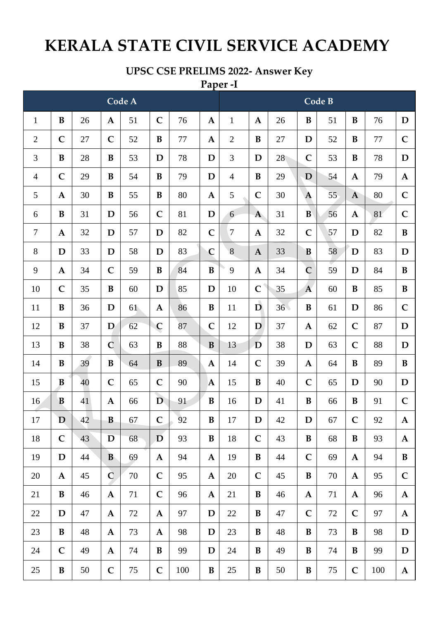## **KERALA STATE CIVIL SERVICE ACADEMY**

## **UPSC CSE PRELIMS 2022- Answer Key**

## Paper-I Code B Code A  $\bf{B}$ 26 51  $\mathsf{C}$ 76  $\mathbf{1}$  $\mathbf{A}$ 26  $\bf{B}$ 76 D  $\mathbf{1}$  $\mathbf{A}$  $\mathbf{A}$ 51  $\bf{B}$  $\overline{2}$  $\mathbf C$ 27  $\mathbf C$ 52  $\bf{B}$ 77  $\mathbf{A}$  $\overline{2}$  $\bf{B}$ 27 D 52 77  $\mathbf C$ B  $\mathbf C$ 3 B 28 B 53 D 78 D 3 D 28 53 B 78 D  $\overline{4}$  $\mathbf C$ 29 B 54  $\bf{B}$ 79 D  $\overline{4}$  $\bf{B}$ 29 D 54  $\mathbf{A}$ 79  $\mathbf{A}$ 5 30  $\bf{B}$ 80 5  $\overline{C}$ 30  $\overline{C}$  $\mathbf{A}$ 55  $\bf{B}$  $\mathbf{A}$  $\overline{A}$ 55  $\overline{A}$ 80 D  $\mathbf C$ D 6  $\bf{B}$  $\mathbf C$ 6 B 31 56 81  $\mathbf{A}$ 31 56  $\mathbf{A}$ 81  $\overline{7}$ 32 D 57 D 82  $\mathbf C$  $\overline{7}$  $\mathbf{A}$ 32  $\mathbf C$ 57 D 82  $\bf{B}$  $\mathbf A$ 8 D 33 D 58 D 83  $\overline{C}$ 8  $\overline{\mathbf{A}}$ 33 B 58 D 83 D 9 34  $\mathbf C$ 59 84  $\bf{B}$ 9 34  $\overline{C}$ 59  $\mathbf A$ B  $\mathbf A$ D 84 B 35 85  $\mathsf{C}$ 35  $\overline{A}$ 10  $\mathbf C$  $\bf{B}$ 60 D D 10 60  $\bf{B}$ 85  $\bf{B}$  $\overline{D}$  $\overline{C}$  $\bf{B}$ 36 D  $\mathbf{A}$  $\bf{B}$  $36<sup>2</sup>$  $\bf{B}$ 11 61 86 11 61 D 86 12  $\bf{B}$ 37 D  $\overline{C}$ 87  $\overline{C}$ 12 D  $\overline{C}$ D 62 37  $\mathbf{A}$ 62 87 38  $\mathbf C$ B B 13 D 38  $\mathsf{C}$ D 13 B 63 88 D 63 88 39  $\overline{C}$ 14 B  $\bf{B}$ 64  $\bf{B}$ 89  $\mathbf{A}$ 14 39 64 B 89  $\bf{B}$  $\mathbf{A}$ 15 40  $\mathsf{C}$ 65  $\mathsf{C}$ 90 15  $\bf{B}$ 40  $\mathbf C$ 65 90 B  $\mathbf{A}$ D D  $\mathbf C$ 16 B 41  $\mathbf A$ 66 D 91 B 16 D 41 B 66 B 91 17 D  $42$ B 67  $\mathbf C$ 92  $\bf{B}$ 17 D 42 D 67  $\mathbf C$ 92  $\mathbf{A}$  $\mathbf C$  $\bf{B}$  $\mathbf C$ 18 43 D 68 D 93 18 43 B 68 B 93  $\mathbf A$ 19 D 44 B 69 94  $\mathbf A$ 19 B 44  $\mathbf C$ 69 94  $\bf{B}$  $\mathbf A$  $\mathbf A$  $\overline{C}$ 20  $\mathbf A$ 45 70  $\mathsf{C}$ 95  $\mathbf{A}$ 20  $\mathsf{C}$ 45 B 70 95  $\mathsf{C}$  $\mathbf{A}$ 21  $\bf{B}$ 46  $\mathbf{A}$ 71  $\mathbf C$ 96  $\mathbf{A}$ 21  $\bf{B}$ 46 71 96  $\mathbf{A}$  $\mathbf{A}$  $\mathbf{A}$ 22 D 47  $\mathbf{A}$ 72  $\mathbf{A}$ 97 D 22  $\bf{B}$ 47  $\mathbf C$ 72  $\mathbf C$ 97  $\mathbf{A}$ 23 B 48  $\mathbf{A}$ 73  $\mathbf{A}$ 98 D 23 B 48 B 73 B 98 D 99 24  $\mathbf C$ 49  $\mathbf A$ 74  $\bf{B}$ D 24  $\, {\bf B}$ 49  $\, {\bf B}$ 74  $\bf{B}$ 99  $\mathbf D$  $\overline{C}$  $\overline{C}$  $\bf{B}$  $\bf{B}$ 25  $\bf{B}$  $\mathsf{C}$ 25 50 75 100 50 B 75 100  $\mathbf{A}$